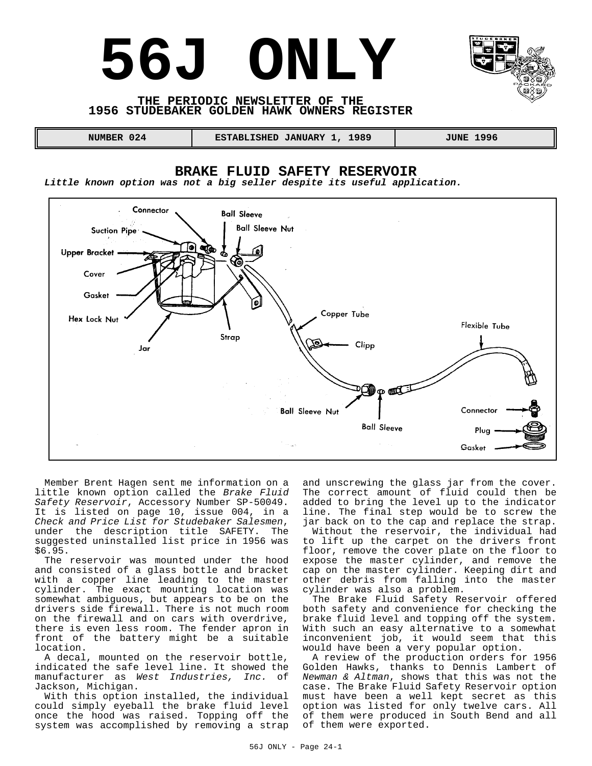# **56J ONLY**



### **THE PERIODIC NEWSLETTER OF THE 1956 STUDEBAKER GOLDEN HAWK OWNERS REGISTER**

 **NUMBER 024 ESTABLISHED JANUARY 1, 1989 JUNE 1996** 

# **BRAKE FLUID SAFETY RESERVOIR**

*Little known option was not a big seller despite its useful application.*



Member Brent Hagen sent me information on a little known option called the *Brake Fluid Safety Reservoir*, Accessory Number SP-50049. It is listed on page 10, issue 004, in a *Check and Price List for Studebaker Salesmen*, under the description title SAFETY. The suggested uninstalled list price in 1956 was \$6.95.

The reservoir was mounted under the hood and consisted of a glass bottle and bracket with a copper line leading to the master cylinder. The exact mounting location was somewhat ambiguous, but appears to be on the drivers side firewall. There is not much room on the firewall and on cars with overdrive, there is even less room. The fender apron in front of the battery might be a suitable location.

A decal, mounted on the reservoir bottle, indicated the safe level line. It showed the manufacturer as *West Industries, Inc.* of Jackson, Michigan.

With this option installed, the individual could simply eyeball the brake fluid level once the hood was raised. Topping off the system was accomplished by removing a strap

and unscrewing the glass jar from the cover. The correct amount of fluid could then be added to bring the level up to the indicator line. The final step would be to screw the jar back on to the cap and replace the strap.

Without the reservoir, the individual had to lift up the carpet on the drivers front floor, remove the cover plate on the floor to expose the master cylinder, and remove the cap on the master cylinder. Keeping dirt and other debris from falling into the master cylinder was also a problem.

The Brake Fluid Safety Reservoir offered both safety and convenience for checking the brake fluid level and topping off the system. With such an easy alternative to a somewhat inconvenient job, it would seem that this would have been a very popular option.

A review of the production orders for 1956 Golden Hawks, thanks to Dennis Lambert of *Newman & Altman*, shows that this was not the case. The Brake Fluid Safety Reservoir option must have been a well kept secret as this option was listed for only twelve cars. All of them were produced in South Bend and all of them were exported.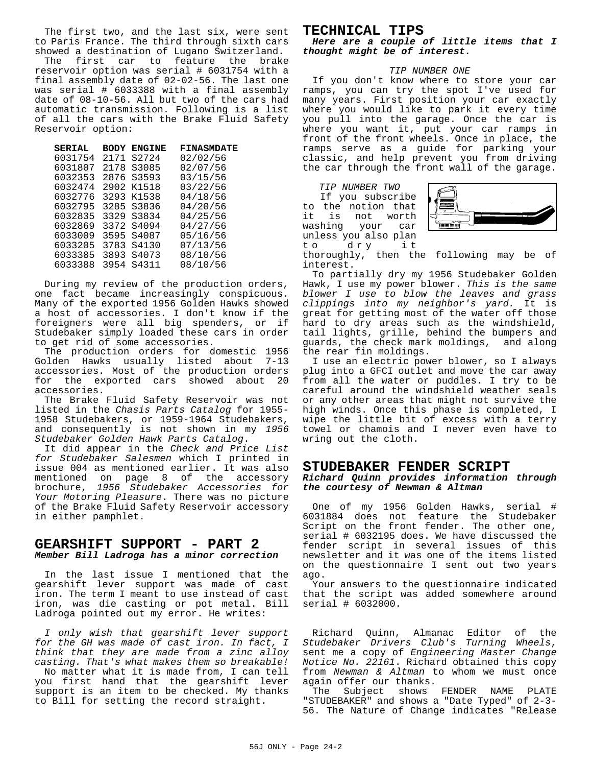The first two, and the last six, were sent to Paris France. The third through sixth cars showed a destination of Lugano Switzerland.

The first car to feature the brake reservoir option was serial # 6031754 with a final assembly date of 02-02-56. The last one was serial # 6033388 with a final assembly date of 08-10-56. All but two of the cars had automatic transmission. Following is a list of all the cars with the Brake Fluid Safety Reservoir option:

| <b>SERIAL</b> | <b>BODY</b> | <b>ENGINE</b> | <b>FINASMDATE</b> |
|---------------|-------------|---------------|-------------------|
| 6031754       | 2171        | S2724         | 02/02/56          |
| 6031807       | 2178        | S3085         | 02/07/56          |
| 6032353       | 2876        | S3593         | 03/15/56          |
| 6032474       | 2902        | K1518         | 03/22/56          |
| 6032776       | 3293        | K1538         | 04/18/56          |
| 6032795       | 3285        | S3836         | 04/20/56          |
| 6032835       | 3329        | S3834         | 04/25/56          |
| 6032869       | 3372        | S4094         | 04/27/56          |
| 6033009       | 3595        | S4087         | 05/16/56          |
| 6033205       | 3783        | S4130         | 07/13/56          |
| 6033385       | 3893        | S4073         | 08/10/56          |
| 6033388       | 3954        | S4311         | 08/10/56          |
|               |             |               |                   |

During my review of the production orders, one fact became increasingly conspicuous. Many of the exported 1956 Golden Hawks showed a host of accessories. I don't know if the foreigners were all big spenders, or if Studebaker simply loaded these cars in order to get rid of some accessories.

The production orders for domestic 1956 Golden Hawks usually listed about 7-13 accessories. Most of the production orders for the exported cars showed about 20 accessories.

The Brake Fluid Safety Reservoir was not listed in the *Chasis Parts Catalog* for 1955- 1958 Studebakers, or 1959-1964 Studebakers, and consequently is not shown in my *1956 Studebaker Golden Hawk Parts Catalog*.

It did appear in the *Check and Price List for Studebaker Salesmen* which I printed in issue 004 as mentioned earlier. It was also mentioned on page 8 of the accessory brochure, *1956 Studebaker Accessories for Your Motoring Pleasure*. There was no picture of the Brake Fluid Safety Reservoir accessory in either pamphlet.

#### **GEARSHIFT SUPPORT - PART 2** *Member Bill Ladroga has a minor correction*

In the last issue I mentioned that the gearshift lever support was made of cast iron. The term I meant to use instead of cast iron, was die casting or pot metal. Bill Ladroga pointed out my error. He writes:

*I only wish that gearshift lever support for the GH was made of cast iron. In fact, I think that they are made from a zinc alloy casting. That's what makes them so breakable!* No matter what it is made from, I can tell you first hand that the gearshift lever support is an item to be checked. My thanks to Bill for setting the record straight.

# **TECHNICAL TIPS**

*Here are a couple of little items that I thought might be of interest.*

#### *TIP NUMBER ONE*

If you don't know where to store your car ramps, you can try the spot I've used for many years. First position your car exactly where you would like to park it every time you pull into the garage. Once the car is where you want it, put your car ramps in front of the front wheels. Once in place, the ramps serve as a guide for parking your classic, and help prevent you from driving the car through the front wall of the garage.

*TIP NUMBER TWO* If you subscribe to the notion that it is not worth washing your car unless you also plan<br>to dry it dry



thoroughly, then the following may be of interest.

To partially dry my 1956 Studebaker Golden Hawk, I use my power blower. *This is the same blower I use to blow the leaves and grass clippings into my neighbor's yard.* It is great for getting most of the water off those hard to dry areas such as the windshield, tail lights, grille, behind the bumpers and guards, the check mark moldings, and along the rear fin moldings.

I use an electric power blower, so I always plug into a GFCI outlet and move the car away from all the water or puddles. I try to be careful around the windshield weather seals or any other areas that might not survive the high winds. Once this phase is completed, I wipe the little bit of excess with a terry towel or chamois and I never even have to wring out the cloth.

# **STUDEBAKER FENDER SCRIPT**

#### *Richard Quinn provides information through the courtesy of Newman & Altman*

One of my 1956 Golden Hawks, serial # 6031884 does not feature the Studebaker Script on the front fender. The other one, serial # 6032195 does. We have discussed the fender script in several issues of this newsletter and it was one of the items listed on the questionnaire I sent out two years ago.

Your answers to the questionnaire indicated that the script was added somewhere around serial # 6032000.

Richard Quinn, Almanac Editor of the *Studebaker Drivers Club's Turning Wheels*, sent me a copy of *Engineering Master Change Notice No. 22161*. Richard obtained this copy from *Newman & Altman* to whom we must once again offer our thanks.

The Subject shows FENDER NAME PLATE "STUDEBAKER" and shows a "Date Typed" of 2-3- 56. The Nature of Change indicates "Release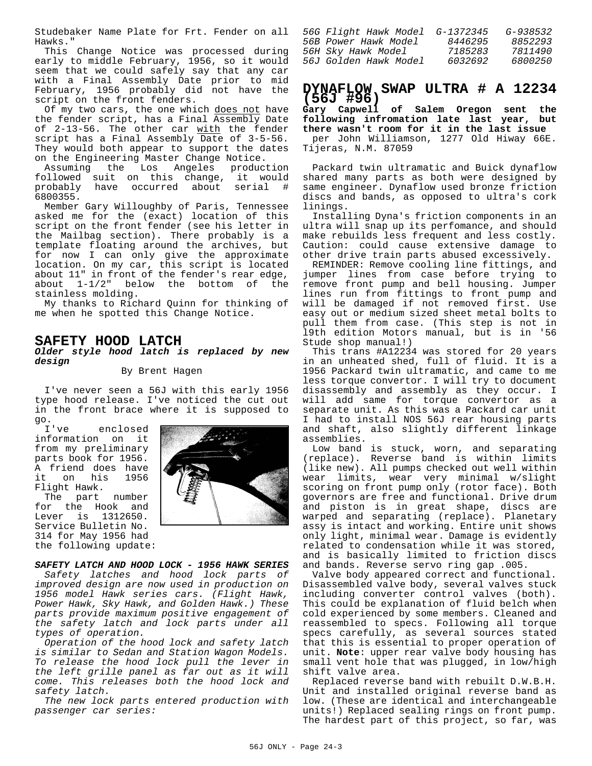Studebaker Name Plate for Frt. Fender on all Hawks."

This Change Notice was processed during early to middle February, 1956, so it would seem that we could safely say that any car with a Final Assembly Date prior to mid February, 1956 probably did not have the script on the front fenders.

Of my two cars, the one which does not have the fender script, has a Final Assembly Date of 2-13-56. The other car with the fender script has a Final Assembly Date of 3-5-56. They would both appear to support the dates on the Engineering Master Change Notice.

Assuming the Los Angeles production followed suit on this change, it would probably have occurred about serial # 6800355.

Member Gary Willoughby of Paris, Tennessee asked me for the (exact) location of this script on the front fender (see his letter in the Mailbag section). There probably is a template floating around the archives, but for now I can only give the approximate location. On my car, this script is located about 11" in front of the fender's rear edge, about 1-1/2" below the bottom of the stainless molding.

My thanks to Richard Quinn for thinking of me when he spotted this Change Notice.

## **SAFETY HOOD LATCH**

#### *Older style hood latch is replaced by new design*

By Brent Hagen

I've never seen a 56J with this early 1956 type hood release. I've noticed the cut out in the front brace where it is supposed to

go.<br>I've enclosed information on it from my preliminary parts book for 1956. A friend does have<br>it on his 1956 on his Flight Hawk.

The part number for the Hook and Lever is 1312650. Service Bulletin No. 314 for May 1956 had the following update:



*SAFETY LATCH AND HOOD LOCK - 1956 HAWK SERIES Safety latches and hood lock parts of improved design are now used in production on 1956 model Hawk series cars. (Flight Hawk, Power Hawk, Sky Hawk, and Golden Hawk.) These parts provide maximum positive engagement of the safety latch and lock parts under all types of operation.*

*Operation of the hood lock and safety latch is similar to Sedan and Station Wagon Models. To release the hood lock pull the lever in the left grille panel as far out as it will come. This releases both the hood lock and safety latch.*

*The new lock parts entered production with passenger car series:*

| 56G Flight Hawk Model | $G - 1372345$ | $G - 938532$ |
|-----------------------|---------------|--------------|
| 56B Power Hawk Model  | 8446295       | 8852293      |
| 56H Sky Hawk Model    | 7185283       | 7811490      |
| 56J Golden Hawk Model | 6032692       | 6800250      |
|                       |               |              |

# **DYNAFLOW SWAP ULTRA # A 12234 (56J #96)**

**Gary Capwell of Salem Oregon sent the following infromation late last year, but there wasn't room for it in the last issue** per John Williamson, 1277 Old Hiway 66E. Tijeras, N.M. 87059

Packard twin ultramatic and Buick dynaflow shared many parts as both were designed by same engineer. Dynaflow used bronze friction discs and bands, as opposed to ultra's cork linings.

Installing Dyna's friction components in an ultra will snap up its perfomance, and should make rebuilds less frequent and less costly. Caution: could cause extensive damage to other drive train parts abused excessively.

REMINDER: Remove cooling line fittings, and jumper lines from case before trying to remove front pump and bell housing. Jumper lines run from fittings to front pump and will be damaged if not removed first. Use easy out or medium sized sheet metal bolts to pull them from case. (This step is not in l9th edition Motors manual, but is in '56 Stude shop manual!)

This trans #A12234 was stored for 20 years in an unheated shed, full of fluid. It is a 1956 Packard twin ultramatic, and came to me less torque convertor. I will try to document disassembly and assembly as they occur. I will add same for torque convertor as a separate unit. As this was a Packard car unit I had to install NOS 56J rear housing parts and shaft, also slightly different linkage assemblies.

Low band is stuck, worn, and separating (replace). Reverse band is within limits (like new). All pumps checked out well within wear limits, wear very minimal w/slight scoring on front pump only (rotor face). Both governors are free and functional. Drive drum and piston is in great shape, discs are warped and separating (replace). Planetary assy is intact and working. Entire unit shows only light, minimal wear. Damage is evidently related to condensation while it was stored, and is basically limited to friction discs and bands. Reverse servo ring gap .005.

Valve body appeared correct and functional. Disassembled valve body, several valves stuck including converter control valves (both). This could be explanation of fluid belch when cold experienced by some members. Cleaned and reassembled to specs. Following all torque specs carefully, as several sources stated that this is essential to proper operation of unit. **Note**: upper rear valve body housing has small vent hole that was plugged, in low/high shift valve area.

Replaced reverse band with rebuilt D.W.B.H. Unit and installed original reverse band as low. (These are identical and interchangeable units!) Replaced sealing rings on front pump. The hardest part of this project, so far, was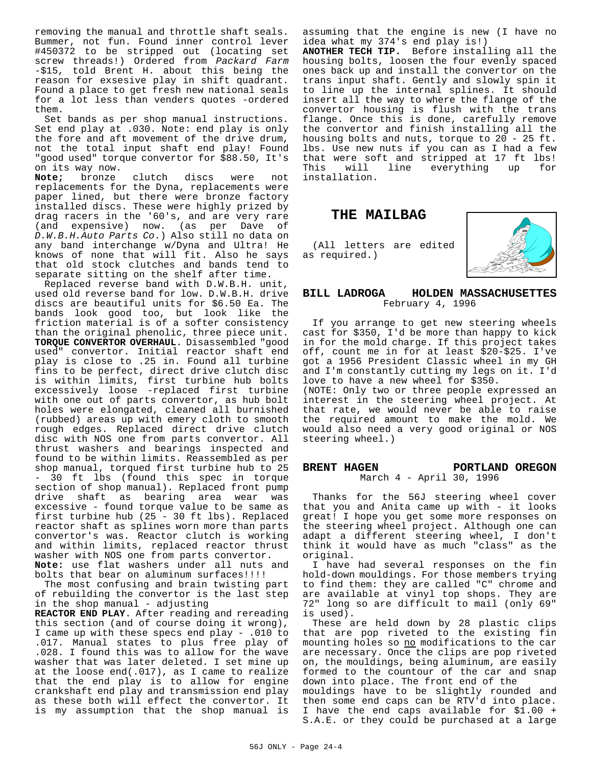removing the manual and throttle shaft seals. Bummer, not fun. Found inner control lever #450372 to be stripped out (locating set screw threads!) Ordered from *Packard Farm* -\$15, told Brent H. about this being the reason for exsesive play in shift quadrant. Found a place to get fresh new national seals for a lot less than venders quotes -ordered them.

Set bands as per shop manual instructions. Set end play at .030. Note: end play is only the fore and aft movement of the drive drum, not the total input shaft end play! Found "good used" torque convertor for \$88.50, It's on its way now.

**Note;** bronze clutch discs were not replacements for the Dyna, replacements were paper lined, but there were bronze factory installed discs. These were highly prized by drag racers in the '60's, and are very rare (and expensive) now. (as per Dave of *D.W.B.H.Auto Parts Co*.) Also still no data on any band interchange w/Dyna and Ultra! He knows of none that will fit. Also he says that old stock clutches and bands tend to separate sitting on the shelf after time.

Replaced reverse band with D.W.B.H. unit, used old reverse band for low. D.W.B.H. drive discs are beautiful units for \$6.50 Ea. The bands look good too, but look like the friction material is of a softer consistency than the original phenolic, three piece unit. **TORQUE CONVERTOR OVERHAUL**. Disassembled "good used" convertor. Initial reactor shaft end play is close to .25 in. Found all turbine fins to be perfect, direct drive clutch disc is within limits, first turbine hub bolts excessively loose -replaced first turbine with one out of parts convertor, as hub bolt holes were elongated, cleaned all burnished (rubbed) areas up with emery cloth to smooth rough edges. Replaced direct drive clutch disc with NOS one from parts convertor. All thrust washers and bearings inspected and found to be within limits. Reassembled as per shop manual, torqued first turbine hub to 25 - 30 ft lbs (found this spec in torque section of shop manual). Replaced front pump drive shaft as bearing area wear was excessive - found torque value to be same as first turbine hub (25 - 30 ft lbs). Replaced reactor shaft as splines worn more than parts convertor's was. Reactor clutch is working and within limits, replaced reactor thrust washer with NOS one from parts convertor. **Note:** use flat washers under all nuts and

bolts that bear on aluminum surfaces!!!!

The most confusing and brain twisting part of rebuilding the convertor is the last step in the shop manual - adjusting

**REACTOR END PLAY**. After reading and rereading this section (and of course doing it wrong), I came up with these specs end play - .010 to .017. Manual states to plus free play of .028. I found this was to allow for the wave washer that was later deleted. I set mine up at the loose end(.017), as I came to realize that the end play is to allow for engine crankshaft end play and transmission end play as these both will effect the convertor. It is my assumption that the shop manual is

assuming that the engine is new (I have no idea what my 374's end play is!)

**ANOTHER TECH TIP.** Before installing all the housing bolts, loosen the four evenly spaced ones back up and install the convertor on the trans input shaft. Gently and slowly spin it to line up the internal splines. It should insert all the way to where the flange of the convertor housing is flush with the trans flange. Once this is done, carefully remove the convertor and finish installing all the housing bolts and nuts, torque to 20 - 25 ft. lbs. Use new nuts if you can as I had a few that were soft and stripped at 17 ft lbs! This will line everything up for installation.

# **THE MAILBAG**

(All letters are edited as required.)



#### **BILL LADROGA HOLDEN MASSACHUSETTES** February 4, 1996

If you arrange to get new steering wheels cast for \$350, I'd be more than happy to kick in for the mold charge. If this project takes off, count me in for at least \$20-\$25. I've got a 1956 President Classic wheel in my GH and I'm constantly cutting my legs on it. I'd love to have a new wheel for \$350.

(NOTE: Only two or three people expressed an interest in the steering wheel project. At that rate, we would never be able to raise the required amount to make the mold. We would also need a very good original or NOS steering wheel.)

#### **BRENT HAGEN PORTLAND OREGON** March 4 - April 30, 1996

Thanks for the 56J steering wheel cover that you and Anita came up with - it looks great! I hope you get some more responses on the steering wheel project. Although one can adapt a different steering wheel, I don't think it would have as much "class" as the original.

I have had several responses on the fin hold-down mouldings. For those members trying to find them: they are called "C" chrome and are available at vinyl top shops. They are 72" long so are difficult to mail (only 69" is used).

These are held down by 28 plastic clips that are pop riveted to the existing fin mounting holes so no modifications to the car are necessary. Once the clips are pop riveted on, the mouldings, being aluminum, are easily formed to the countour of the car and snap down into place. The front end of the mouldings have to be slightly rounded and then some end caps can be RTV'd into place. I have the end caps available for \$1.00 + S.A.E. or they could be purchased at a large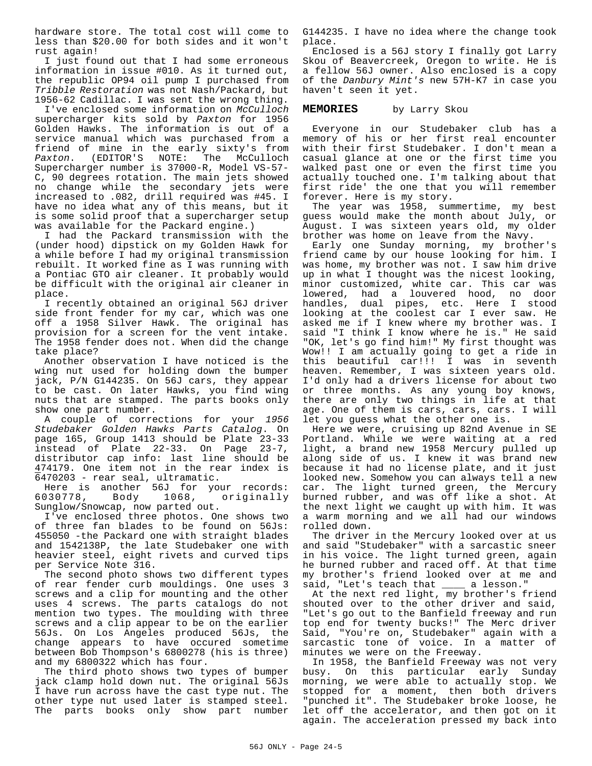hardware store. The total cost will come to less than \$20.00 for both sides and it won't rust again!

I just found out that I had some erroneous information in issue #010. As it turned out, the republic OP94 oil pump I purchased from *Tribble Restoration* was not Nash/Packard, but 1956-62 Cadillac. I was sent the wrong thing.

I've enclosed some information on *McCulloch* supercharger kits sold by *Paxton* for 1956 Golden Hawks. The information is out of a service manual which was purchased from a friend of mine in the early sixty's from<br>Paxton. (EDITOR'S NOTE: The McCulloch *Paxton.* (EDITOR'S Supercharger number is 37000-R, Model VS-57- C, 90 degrees rotation. The main jets showed no change while the secondary jets were increased to .082, drill required was #45. I have no idea what any of this means, but it is some solid proof that a supercharger setup was available for the Packard engine.)

I had the Packard transmission with the (under hood) dipstick on my Golden Hawk for a while before I had my original transmission rebuilt. It worked fine as I was running with a Pontiac GTO air cleaner. It probably would be difficult with the original air cleaner in place.

I recently obtained an original 56J driver side front fender for my car, which was one off a 1958 Silver Hawk. The original has provision for a screen for the vent intake. The 1958 fender does not. When did the change take place?

Another observation I have noticed is the wing nut used for holding down the bumper jack, P/N G144235. On 56J cars, they appear to be cast. On later Hawks, you find wing nuts that are stamped. The parts books only show one part number.

A couple of corrections for your *1956 Studebaker Golden Hawks Parts Catalog*. On page 165, Group 1413 should be Plate 23-33 instead of Plate 22-33. On Page 23-7, distributor cap info: last line should be 474179. One item not in the rear index is 6470203 - rear seal, ultramatic.

Here is another 56J for your records: 6030778, Body 1068, originally Sunglow/Snowcap, now parted out.

I've enclosed three photos. One shows two of three fan blades to be found on 56Js: 455050 -the Packard one with straight blades and 1542138P, the late Studebaker one with heavier steel, eight rivets and curved tips per Service Note 316.

The second photo shows two different types of rear fender curb mouldings. One uses 3 screws and a clip for mounting and the other uses 4 screws. The parts catalogs do not mention two types. The moulding with three screws and a clip appear to be on the earlier 56Js. On Los Angeles produced 56Js, the change appears to have occured sometime between Bob Thompson's 6800278 (his is three) and my 6800322 which has four.

The third photo shows two types of bumper jack clamp hold down nut. The original 56Js I have run across have the cast type nut. The other type nut used later is stamped steel. The parts books only show part number

G144235. I have no idea where the change took place.

Enclosed is a 56J story I finally got Larry Skou of Beavercreek, Oregon to write. He is a fellow 56J owner. Also enclosed is a copy of the *Danbury Mint's* new 57H-K7 in case you haven't seen it yet.

#### **MEMORIES** by Larry Skou

Everyone in our Studebaker club has a memory of his or her first real encounter with their first Studebaker. I don't mean a casual glance at one or the first time you walked past one or even the first time you actually touched one. I'm talking about that first ride' the one that you will remember forever. Here is my story.

The year was 1958, summertime, my best guess would make the month about July, or August. I was sixteen years old, my older brother was home on leave from the Navy.

Early one Sunday morning, my brother's friend came by our house looking for him. I was home, my brother was not. I saw him drive up in what I thought was the nicest looking, minor customized, white car. This car was lowered, had a louvered hood, no door handles, dual pipes, etc. Here I stood looking at the coolest car I ever saw. He asked me if I knew where my brother was. I said "I think I know where he is." He said "OK, let's go find him!" My first thought was Wow!! I am actually going to get a ride in this beautiful car!!! I was in seventh heaven. Remember, I was sixteen years old. I'd only had a drivers license for about two or three months. As any young boy knows, there are only two things in life at that age. One of them is cars, cars, cars. I will let you guess what the other one is.

Here we were, cruising up 82nd Avenue in SE Portland. While we were waiting at a red light, a brand new 1958 Mercury pulled up along side of us. I knew it was brand new because it had no license plate, and it just looked new. Somehow you can always tell a new car. The light turned green, the Mercury burned rubber, and was off like a shot. At the next light we caught up with him. It was a warm morning and we all had our windows rolled down.

The driver in the Mercury looked over at us and said "Studebaker" with a sarcastic sneer in his voice. The light turned green, again he burned rubber and raced off. At that time my brother's friend looked over at me and said, "Let's teach that \_\_\_\_ a lesson."

At the next red light, my brother's friend shouted over to the other driver and said, "Let's go out to the Banfield freeway and run top end for twenty bucks!" The Merc driver Said, "You're on, Studebaker" again with a sarcastic tone of voice. In a matter of minutes we were on the Freeway.

In 1958, the Banfield Freeway was not very busy. On this particular early Sunday morning, we were able to actually stop. We stopped for a moment, then both drivers "punched it". The Studebaker broke loose, he let off the accelerator, and then got on it again. The acceleration pressed my back into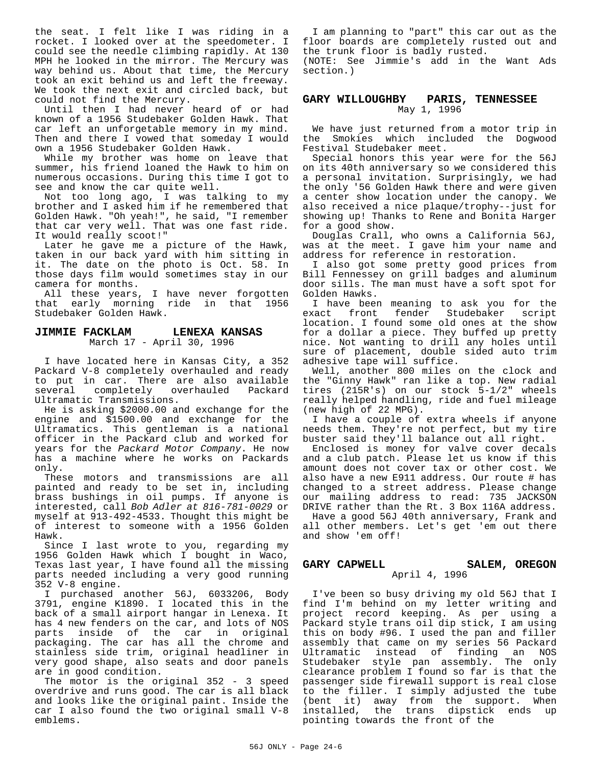the seat. I felt like I was riding in a rocket. I looked over at the speedometer. I could see the needle climbing rapidly. At 130 MPH he looked in the mirror. The Mercury was way behind us. About that time, the Mercury took an exit behind us and left the freeway. We took the next exit and circled back, but could not find the Mercury.

Until then I had never heard of or had known of a 1956 Studebaker Golden Hawk. That car left an unforgetable memory in my mind. Then and there I vowed that someday I would own a 1956 Studebaker Golden Hawk.

While my brother was home on leave that summer, his friend loaned the Hawk to him on numerous occasions. During this time I got to see and know the car quite well.

Not too long ago, I was talking to my brother and I asked him if he remembered that Golden Hawk. "Oh yeah!", he said, "I remember that car very well. That was one fast ride. It would really scoot!"

Later he gave me a picture of the Hawk, taken in our back yard with him sitting in it. The date on the photo is Oct. 58. In those days film would sometimes stay in our camera for months.

All these years, I have never forgotten that early morning ride in that 1956 Studebaker Golden Hawk.

#### **JIMMIE FACKLAM LENEXA KANSAS** March 17 - April 30, 1996

I have located here in Kansas City, a 352 Packard V-8 completely overhauled and ready to put in car. There are also available several completely overhauled Packard Ultramatic Transmissions.

He is asking \$2000.00 and exchange for the engine and \$1500.00 and exchange for the Ultramatics. This gentleman is a national officer in the Packard club and worked for years for the *Packard Motor Company*. He now has a machine where he works on Packards only.

These motors and transmissions are all painted and ready to be set in, including brass bushings in oil pumps. If anyone is interested, call *Bob Adler at 816-781-0029* or myself at 913-492-4533. Thought this might be of interest to someone with a 1956 Golden Hawk.

Since I last wrote to you, regarding my 1956 Golden Hawk which I bought in Waco, Texas last year, I have found all the missing parts needed including a very good running 352 V-8 engine.

I purchased another 56J, 6033206, Body 3791, engine K1890. I located this in the back of a small airport hangar in Lenexa. It has 4 new fenders on the car, and lots of NOS parts inside of the car in original packaging. The car has all the chrome and stainless side trim, original headliner in very good shape, also seats and door panels are in good condition.

The motor is the original 352 - 3 speed overdrive and runs good. The car is all black and looks like the original paint. Inside the car I also found the two original small V-8 emblems.

I am planning to "part" this car out as the floor boards are completely rusted out and the trunk floor is badly rusted.

(NOTE: See Jimmie's add in the Want Ads section.)

#### **GARY WILLOUGHBY PARIS, TENNESSEE** May 1, 1996

We have just returned from a motor trip in the Smokies which included the Dogwood Festival Studebaker meet.

Special honors this year were for the 56J on its 40th anniversary so we considered this a personal invitation. Surprisingly, we had the only '56 Golden Hawk there and were given a center show location under the canopy. We also received a nice plaque/trophy--just for showing up! Thanks to Rene and Bonita Harger for a good show.

Douglas Crall, who owns a California 56J, was at the meet. I gave him your name and address for reference in restoration.

I also got some pretty good prices from Bill Fennessey on grill badges and aluminum door sills. The man must have a soft spot for Golden Hawks.

I have been meaning to ask you for the exact front fender Studebaker script location. I found some old ones at the show for a dollar a piece. They buffed up pretty nice. Not wanting to drill any holes until sure of placement, double sided auto trim adhesive tape will suffice.

Well, another 800 miles on the clock and the "Ginny Hawk" ran like a top. New radial tires (215R's) on our stock 5-1/2" wheels really helped handling, ride and fuel mileage (new high of 22 MPG).

I have a couple of extra wheels if anyone needs them. They're not perfect, but my tire buster said they'll balance out all right.

Enclosed is money for valve cover decals and a club patch. Please let us know if this amount does not cover tax or other cost. We also have a new E911 address. Our route # has changed to a street address. Please change our mailing address to read: 735 JACKSON DRIVE rather than the Rt. 3 Box 116A address.

Have a good 56J 40th anniversary, Frank and all other members. Let's get 'em out there and show 'em off!

# GARY CAPWELL SALEM, OREGON

#### April 4, 1996

I've been so busy driving my old 56J that I find I'm behind on my letter writing and project record keeping. As per using a Packard style trans oil dip stick, I am using this on body #96. I used the pan and filler assembly that came on my series 56 Packard Ultramatic instead of finding an NOS Studebaker style pan assembly. The only clearance problem I found so far is that the passenger side firewall support is real close to the filler. I simply adjusted the tube (bent it) away from the support. When installed, the trans dipstick ends up pointing towards the front of the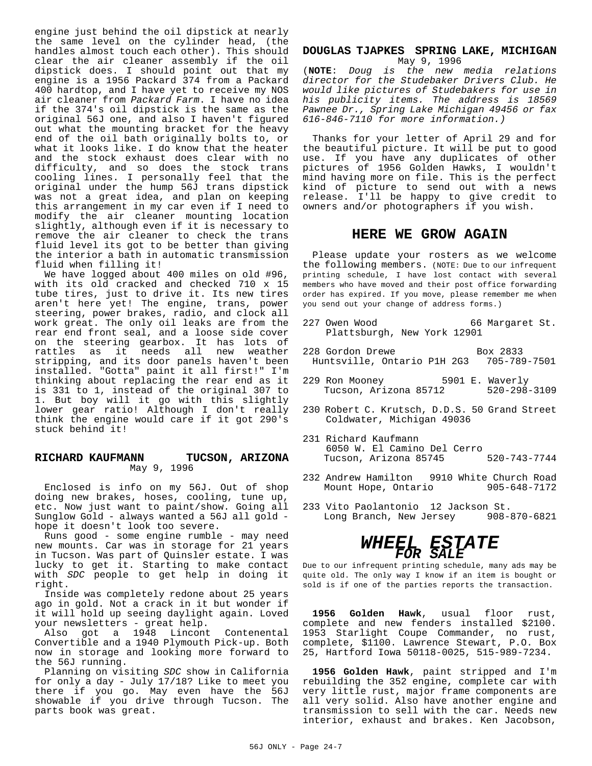engine just behind the oil dipstick at nearly the same level on the cylinder head, (the handles almost touch each other). This should clear the air cleaner assembly if the oil dipstick does. I should point out that my engine is a 1956 Packard 374 from a Packard 400 hardtop, and I have yet to receive my NOS air cleaner from *Packard Farm*. I have no idea if the 374's oil dipstick is the same as the original 56J one, and also I haven't figured out what the mounting bracket for the heavy end of the oil bath originally bolts to, or what it looks like. I do know that the heater and the stock exhaust does clear with no difficulty, and so does the stock trans cooling lines. I personally feel that the original under the hump 56J trans dipstick was not a great idea, and plan on keeping this arrangement in my car even if I need to modify the air cleaner mounting location slightly, although even if it is necessary to remove the air cleaner to check the trans fluid level its got to be better than giving the interior a bath in automatic transmission fluid when filling it!

We have logged about 400 miles on old #96, with its old cracked and checked 710 x 15 tube tires, just to drive it. Its new tires aren't here yet! The engine, trans, power steering, power brakes, radio, and clock all work great. The only oil leaks are from the rear end front seal, and a loose side cover on the steering gearbox. It has lots of<br>rattles as it needs all new weather rattles as it needs all new stripping, and its door panels haven't been installed. "Gotta" paint it all first!" I'm thinking about replacing the rear end as it is 331 to 1, instead of the original 307 to 1. But boy will it go with this slightly lower gear ratio! Although I don't really think the engine would care if it got 290's stuck behind it!

#### **RICHARD KAUFMANN TUCSON, ARIZONA** May 9, 1996

Enclosed is info on my 56J. Out of shop doing new brakes, hoses, cooling, tune up, etc. Now just want to paint/show. Going all Sunglow Gold - always wanted a 56J all gold hope it doesn't look too severe.

Runs good - some engine rumble - may need new mounts. Car was in storage for 21 years in Tucson. Was part of Quinsler estate. I was lucky to get it. Starting to make contact with *SDC* people to get help in doing it right.

Inside was completely redone about 25 years ago in gold. Not a crack in it but wonder if it will hold up seeing daylight again. Loved your newsletters - great help.

Also got a 1948 Lincont Contenental Convertible and a 1940 Plymouth Pick-up. Both now in storage and looking more forward to the 56J running.

Planning on visiting *SDC* show in California for only a day - July 17/18? Like to meet you there if you go. May even have the 56J showable if you drive through Tucson. The parts book was great.

#### **DOUGLAS TJAPKES SPRING LAKE, MICHIGAN** May 9, 1996

(**NOTE**: *Doug is the new media relations director for the Studebaker Drivers Club. He would like pictures of Studebakers for use in his publicity items. The address is 18569 Pawnee Dr., Spring Lake Michigan 49456 or fax 616-846-7110 for more information.)*

Thanks for your letter of April 29 and for the beautiful picture. It will be put to good use. If you have any duplicates of other pictures of 1956 Golden Hawks, I wouldn't mind having more on file. This is the perfect kind of picture to send out with a news release. I'll be happy to give credit to owners and/or photographers if you wish.

# **HERE WE GROW AGAIN**

Please update your rosters as we welcome the following members. (NOTE: Due to our infrequent printing schedule, I have lost contact with several members who have moved and their post office forwarding order has expired. If you move, please remember me when you send out your change of address forms.)

- 227 Owen Wood 66 Margaret St. Plattsburgh, New York 12901
- 228 Gordon Drewe Box 2833 Huntsville, Ontario P1H 2G3 705-789-7501
- 229 Ron Mooney 5901 E. Waverly Tucson, Arizona 85712 520-298-3109
- 230 Robert C. Krutsch, D.D.S. 50 Grand Street Coldwater, Michigan 49036
- 231 Richard Kaufmann 6050 W. El Camino Del Cerro Tucson, Arizona 85745 520-743-7744
- 232 Andrew Hamilton 9910 White Church Road<br>205-648-7172 905-648-7172 Mount Hope, Ontario
- 233 Vito Paolantonio 12 Jackson St. Long Branch, New Jersey 908-870-6821

# *WHEEL ESTATE FOR SALE*

Due to our infrequent printing schedule, many ads may be quite old. The only way I know if an item is bought or sold is if one of the parties reports the transaction.

**1956 Golden Hawk**, usual floor rust, complete and new fenders installed \$2100. 1953 Starlight Coupe Commander, no rust, complete, \$1100. Lawrence Stewart, P.O. Box 25, Hartford Iowa 50118-0025, 515-989-7234.

**1956 Golden Hawk**, paint stripped and I'm rebuilding the 352 engine, complete car with very little rust, major frame components are all very solid. Also have another engine and transmission to sell with the car. Needs new interior, exhaust and brakes. Ken Jacobson,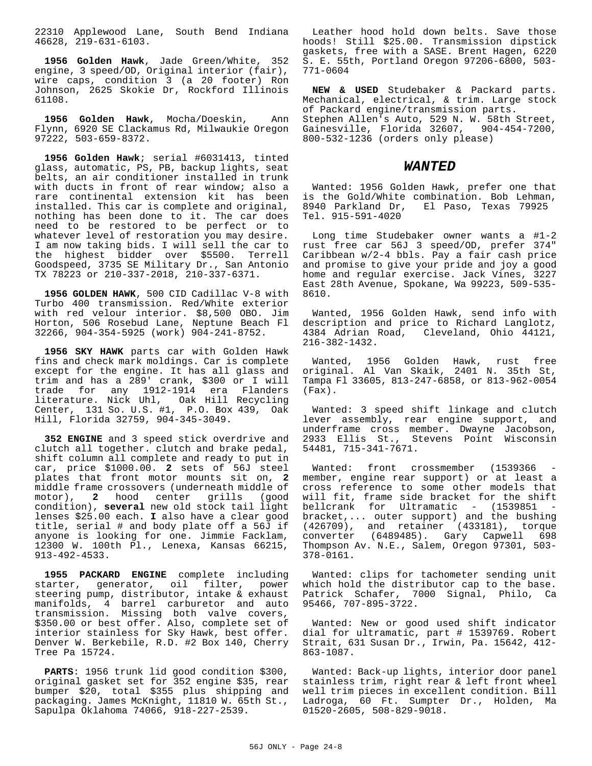22310 Applewood Lane, South Bend Indiana 46628, 219-631-6103.

**1956 Golden Hawk**, Jade Green/White, 352 engine, 3 speed/OD, Original interior (fair), wire caps, condition 3 (a 20 footer) Ron Johnson, 2625 Skokie Dr, Rockford Illinois 61108.

**1956 Golden Hawk**, Mocha/Doeskin, Ann Flynn, 6920 SE Clackamus Rd, Milwaukie Oregon 97222, 503-659-8372.

**1956 Golden Hawk**; serial #6031413, tinted glass, automatic, PS, PB, backup lights, seat belts, an air conditioner installed in trunk with ducts in front of rear window; also a rare continental extension kit has been installed. This car is complete and original, nothing has been done to it. The car does need to be restored to be perfect or to whatever level of restoration you may desire. I am now taking bids. I will sell the car to the highest bidder over \$5500. Terrell Goodspeed, 3735 SE Military Dr., San Antonio TX 78223 or 210-337-2018, 210-337-6371.

**1956 GOLDEN HAWK**, 500 CID Cadillac V-8 with Turbo 400 transmission. Red/White exterior with red velour interior. \$8,500 OBO. Jim Horton, 506 Rosebud Lane, Neptune Beach Fl 32266, 904-354-5925 (work) 904-241-8752.

**1956 SKY HAWK** parts car with Golden Hawk fins and check mark moldings. Car is complete except for the engine. It has all glass and trim and has a 289' crank, \$300 or I will trade for any 1912-1914 era Flanders literature. Nick Uhl, Oak Hill Recycling Center, 131 So. U.S. #1, P.O. Box 439, Oak Hill, Florida 32759, 904-345-3049.

**352 ENGINE** and 3 speed stick overdrive and clutch all together. clutch and brake pedal, shift column all complete and ready to put in car, price \$1000.00. **2** sets of 56J steel plates that front motor mounts sit on, **2** middle frame crossovers (underneath middle of motor), **2** hood center grills (good condition), **several** new old stock tail light lenses \$25.00 each. **I** also have a clear good title, serial # and body plate off a 56J if anyone is looking for one. Jimmie Facklam, 12300 W. 100th Pl., Lenexa, Kansas 66215, 913-492-4533.

**1955 PACKARD ENGINE** complete including starter, generator, oil filter, power steering pump, distributor, intake & exhaust manifolds, 4 barrel carburetor and auto transmission. Missing both valve covers, \$350.00 or best offer. Also, complete set of interior stainless for Sky Hawk, best offer. Denver W. Berkebile, R.D. #2 Box 140, Cherry Tree Pa 15724.

**PARTS**: 1956 trunk lid good condition \$300, original gasket set for 352 engine \$35, rear bumper \$20, total \$355 plus shipping and packaging. James McKnight, 11810 W. 65th St., Sapulpa Oklahoma 74066, 918-227-2539.

Leather hood hold down belts. Save those hoods! Still \$25.00. Transmission dipstick gaskets, free with a SASE. Brent Hagen, 6220 S. E. 55th, Portland Oregon 97206-6800, 503- 771-0604

**NEW & USED** Studebaker & Packard parts. Mechanical, electrical, & trim. Large stock of Packard engine/transmission parts. Stephen Allen's Auto, 529 N. W. 58th Street, Gainesville, Florida 32607, 904-454-7200, 800-532-1236 (orders only please)

#### *WANTED*

Wanted: 1956 Golden Hawk, prefer one that is the Gold/White combination. Bob Lehman, 8940 Parkland Dr, El Paso, Texas 79925 Tel. 915-591-4020

Long time Studebaker owner wants a #1-2 rust free car 56J 3 speed/OD, prefer 374" Caribbean w/2-4 bbls. Pay a fair cash price and promise to give your pride and joy a good home and regular exercise. Jack Vines, 3227 East 28th Avenue, Spokane, Wa 99223, 509-535- 8610.

Wanted, 1956 Golden Hawk, send info with description and price to Richard Langlotz, 4384 Adrian Road, Cleveland, Ohio 44121, 216-382-1432.

Wanted, 1956 Golden Hawk, rust free original. Al Van Skaik, 2401 N. 35th St, Tampa Fl 33605, 813-247-6858, or 813-962-0054 (Fax).

Wanted: 3 speed shift linkage and clutch lever assembly, rear engine support, and underframe cross member. Dwayne Jacobson, 2933 Ellis St., Stevens Point Wisconsin 54481, 715-341-7671.

Wanted: front crossmember (1539366 member, engine rear support) or at least a cross reference to some other models that will fit, frame side bracket for the shift bellcrank for Ultramatic - (1539851 bracket,... outer support) and the bushing (426709), and retainer (433181), torque converter (6489485). Gary Capwell 698 Thompson Av. N.E., Salem, Oregon 97301, 503- 378-0161.

Wanted: clips for tachometer sending unit which hold the distributor cap to the base. Patrick Schafer, 7000 Signal, Philo, Ca 95466, 707-895-3722.

Wanted: New or good used shift indicator dial for ultramatic, part # 1539769. Robert Strait, 631 Susan Dr., Irwin, Pa. 15642, 412- 863-1087.

Wanted: Back-up lights, interior door panel stainless trim, right rear & left front wheel well trim pieces in excellent condition. Bill Ladroga, 60 Ft. Sumpter Dr., Holden, Ma 01520-2605, 508-829-9018.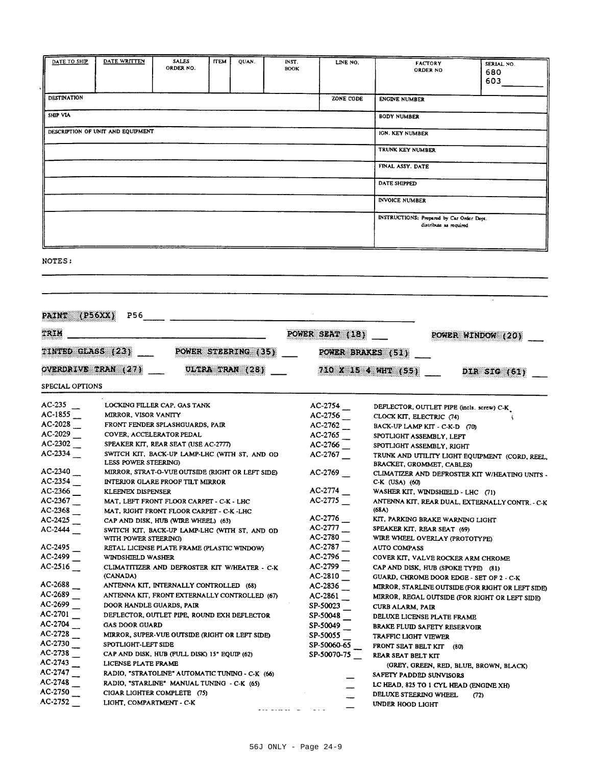| DATE TO SHIP                                          | DATE WRITTEN                                     | <b>SALES</b>                                     | <b>ITEM</b> | QUAN. | INST.           |                        |                                           |                                                           |
|-------------------------------------------------------|--------------------------------------------------|--------------------------------------------------|-------------|-------|-----------------|------------------------|-------------------------------------------|-----------------------------------------------------------|
|                                                       |                                                  | ORDER NO.                                        |             |       | <b>BOOK</b>     | LINE NO.               | <b>FACTORY</b><br><b>ORDER NO</b>         | SERIAL NO.                                                |
|                                                       |                                                  |                                                  |             |       |                 |                        |                                           | 680<br>603.                                               |
|                                                       |                                                  |                                                  |             |       |                 |                        |                                           |                                                           |
| DESTINATION                                           |                                                  |                                                  |             |       |                 | ZONE CODE              | <b>ENGINE NUMBER</b>                      |                                                           |
|                                                       |                                                  |                                                  |             |       |                 |                        |                                           |                                                           |
| SHIP VIA                                              |                                                  |                                                  |             |       |                 |                        | <b>BODY NUMBER</b>                        |                                                           |
|                                                       |                                                  |                                                  |             |       |                 |                        |                                           |                                                           |
|                                                       | DESCRIPTION OF UNIT AND EQUIPMENT                |                                                  |             |       |                 |                        | IGN. KEY NUMBER                           |                                                           |
|                                                       |                                                  |                                                  |             |       |                 |                        | TRUNK KEY NUMBER                          |                                                           |
|                                                       |                                                  |                                                  |             |       |                 |                        |                                           |                                                           |
|                                                       |                                                  |                                                  |             |       |                 |                        | FINAL ASSY. DATE                          |                                                           |
|                                                       |                                                  |                                                  |             |       |                 |                        |                                           |                                                           |
|                                                       |                                                  |                                                  |             |       |                 |                        | DATE SHIPPED                              |                                                           |
|                                                       |                                                  |                                                  |             |       |                 |                        |                                           |                                                           |
|                                                       |                                                  |                                                  |             |       |                 |                        | <b>INVOICE NUMBER</b>                     |                                                           |
|                                                       |                                                  |                                                  |             |       |                 |                        | INSTRUCTIONS: Prepared by Car Order Dept. |                                                           |
|                                                       |                                                  |                                                  |             |       |                 |                        | distribute as required                    |                                                           |
|                                                       |                                                  |                                                  |             |       |                 |                        |                                           |                                                           |
|                                                       |                                                  |                                                  |             |       |                 |                        |                                           |                                                           |
|                                                       |                                                  |                                                  |             |       |                 |                        |                                           |                                                           |
| NOTES:                                                |                                                  |                                                  |             |       |                 |                        |                                           |                                                           |
|                                                       |                                                  |                                                  |             |       |                 |                        |                                           |                                                           |
|                                                       |                                                  |                                                  |             |       |                 |                        |                                           |                                                           |
|                                                       |                                                  |                                                  |             |       |                 |                        |                                           |                                                           |
|                                                       |                                                  |                                                  |             |       |                 |                        |                                           |                                                           |
| PAINT (P56XX)                                         |                                                  |                                                  |             |       |                 |                        |                                           |                                                           |
|                                                       |                                                  |                                                  |             |       |                 |                        |                                           |                                                           |
| TRIM                                                  |                                                  |                                                  |             |       |                 | POWER SEAT (18)        |                                           | POWER WINDOW (20)                                         |
|                                                       |                                                  |                                                  |             |       |                 |                        |                                           |                                                           |
|                                                       | TINTED GLASS (23) ______ POWER STEERING (35) ___ |                                                  |             |       |                 | POWER BRAKES (51)      |                                           |                                                           |
|                                                       |                                                  |                                                  |             |       |                 |                        |                                           |                                                           |
|                                                       | OVERDRIVE TRAN (27)                              |                                                  |             |       | ULTRA TRAN (28) |                        | $710 \times 15$ 4 WHT $(55)$              | DIR SIG $(61)$                                            |
|                                                       |                                                  |                                                  |             |       |                 |                        |                                           |                                                           |
| SPECIAL OPTIONS                                       |                                                  |                                                  |             |       |                 |                        |                                           |                                                           |
| AC-235                                                |                                                  |                                                  |             |       |                 |                        |                                           |                                                           |
| $AC-1855$ __                                          |                                                  | LOCKING FILLER CAP, GAS TANK                     |             |       |                 | $AC-2754$<br>$AC-2756$ | DEFLECTOR, OUTLET PIPE (incls. screw) C-K |                                                           |
| $AC-2028$ _                                           | MIRROR, VISOR VANITY                             |                                                  |             |       |                 |                        |                                           |                                                           |
|                                                       |                                                  |                                                  |             |       |                 |                        | CLOCK KIT, ELECTRIC (74)                  |                                                           |
|                                                       |                                                  | FRONT FENDER SPLASHGUARDS, PAIR                  |             |       |                 | $AC-2762$ __           | BACK-UP LAMP KIT - C-K-D (70)             |                                                           |
| AC-2029                                               | COVER, ACCELERATOR PEDAL                         |                                                  |             |       |                 | AC-2765                | SPOTLIGHT ASSEMBLY, LEFT                  |                                                           |
| $AC-2302$ _                                           |                                                  | SPEAKER KIT, REAR SEAT (USE AC-2777)             |             |       |                 | AC-2766                | SPOTLIGHT ASSEMBLY, RIGHT                 |                                                           |
| $AC-2334$ _                                           |                                                  | SWITCH KIT, BACK-UP LAMP-LHC (WITH ST, AND OD    |             |       |                 | AC-2767                |                                           | TRUNK AND UTILITY LIGHT EQUIPMENT (CORD, REEL,            |
|                                                       | LESS POWER STEERING)                             |                                                  |             |       |                 |                        | BRACKET, GROMMET, CABLES)                 |                                                           |
| AC-2340                                               |                                                  | MIRROR, STRAT-O-VUE OUTSIDE (RIGHT OR LEFT SIDE) |             |       |                 | $AC-2769$ _            |                                           | CLIMATIZER AND DEFROSTER KIT W/HEATING UNITS -            |
| AC-2354                                               |                                                  | <b>INTERIOR GLARE PROOF TILT MIRROR</b>          |             |       |                 |                        | C-K (USA) (60)                            |                                                           |
| AC-2366                                               | KLEENEX DISPENSER                                |                                                  |             |       |                 | AC-2774                | WASHER KIT, WINDSHIELD - LHC (71)         |                                                           |
| $AC-2367$ _                                           |                                                  | MAT, LEFT FRONT FLOOR CARPET - C-K - LHC         |             |       |                 | AC-2775                |                                           | ANTENNA KIT, REAR DUAL, EXTERNALLY CONTR. - C-K           |
| AC-2368                                               |                                                  | MAT, RIGHT FRONT FLOOR CARPET - C-K -LHC         |             |       |                 |                        | (68A)                                     |                                                           |
| AC-2425                                               |                                                  | CAP AND DISK, HUB (WIRE WHEEL) (63)              |             |       |                 | AC-2776                | KIT, PARKING BRAKE WARNING LIGHT          |                                                           |
| $AC-2444$ _                                           |                                                  | SWITCH KIT, BACK-UP LAMP-LHC (WITH ST, AND OD    |             |       |                 | AC-2777<br>AC-2780     | SPEAKER KIT, REAR SEAT (69)               |                                                           |
|                                                       | WITH POWER STEERING)                             |                                                  |             |       |                 |                        | WIRE WHEEL OVERLAY (PROTOTYPE)            |                                                           |
| AC-2495                                               |                                                  | RETAL LICENSE PLATE FRAME (PLASTIC WINDOW)       |             |       |                 | $AC-2787$ __           | <b>AUTO COMPASS</b>                       |                                                           |
| AC-2499                                               | WINDSHIELD WASHER                                |                                                  |             |       |                 | AC-2796                | COVER KIT, VALVE ROCKER ARM CHROME        |                                                           |
| $AC-2516$                                             | (CANADA)                                         | CLIMATITIZER AND DEFROSTER KIT W/HEATER - C-K    |             |       |                 | AC-2799                | CAP AND DISK, HUB (SPOKE TYPE) (81)       |                                                           |
| AC-2688                                               |                                                  |                                                  |             |       |                 | $AC-2810$ _            | GUARD, CHROME DOOR EDGE - SET OF 2 - C-K  |                                                           |
|                                                       |                                                  | ANTENNA KIT, INTERNALLY CONTROLLED (68)          |             |       |                 | AC-2836                |                                           |                                                           |
| $AC-2689$                                             |                                                  | ANTENNA KIT, FRONT EXTERNALLY CONTROLLED (67)    |             |       |                 | AC-2861                |                                           | MIRROR, REGAL OUTSIDE (FOR RIGHT OR LEFT SIDE)            |
| AC-2699                                               | DOOR HANDLE GUARDS, PAIR                         |                                                  |             |       |                 | SP-50023_              | CURB ALARM, PAIR                          |                                                           |
| AC-2701                                               |                                                  | DEFLECTOR, OUTLET PIPE, ROUND EXH DEFLECTOR      |             |       |                 | SP-50048               | DELUXE LICENSE PLATE FRAME                |                                                           |
| AC-2704                                               | <b>GAS DOOR GUARD</b>                            |                                                  |             |       |                 | SP-50049               | <b>BRAKE FLUID SAFETY RESERVOIR</b>       |                                                           |
| $AC-2728$ _                                           |                                                  | MIRROR, SUPER-VUE OUTSIDE (RIGHT OR LEFT SIDE)   |             |       |                 | SP-50055               | TRAFFIC LIGHT VIEWER                      |                                                           |
|                                                       | SPOTLIGHT-LEFT SIDE                              |                                                  |             |       |                 | SP-50060-65            | <b>FRONT SEAT BELT KIT (80)</b>           |                                                           |
| AC-2730<br>AC-2738                                    |                                                  | CAP AND DISK, HUB (FULL DISK) 15" EQUIP (62)     |             |       |                 | SP-50070-75            | REAR SEAT BELT KIT                        |                                                           |
|                                                       | LICENSE PLATE FRAME                              |                                                  |             |       |                 |                        |                                           | (GREY, GREEN, RED, BLUE, BROWN, BLACK)                    |
|                                                       |                                                  | RADIO, "STRATOLINE" AUTOMATIC TUNING - C-K (66)  |             |       |                 |                        | SAFETY PADDED SUNVISORS                   |                                                           |
|                                                       |                                                  | RADIO, "STARLINE" MANUAL TUNING - C-K (65)       |             |       |                 |                        | LC HEAD, 825 TO 1 CYL HEAD (ENGINE XH)    |                                                           |
| AC-2743<br>AC-2747<br>AC-2748<br>$AC-2750$<br>AC-2752 | LIGHT, COMPARTMENT - C-K                         | CIGAR LIGHTER COMPLETE (75)                      |             |       |                 |                        | DELUXE STEERING WHEEL<br>UNDER HOOD LIGHT | MIRROR, STARLINE OUTSIDE (FOR RIGHT OR LEFT SIDE)<br>(72) |

المنفار القاميسية لتعا

LC HEAD, 825 TO 1 CYL HEAD (ENGINE XH)  $\overline{\phantom{m}}$